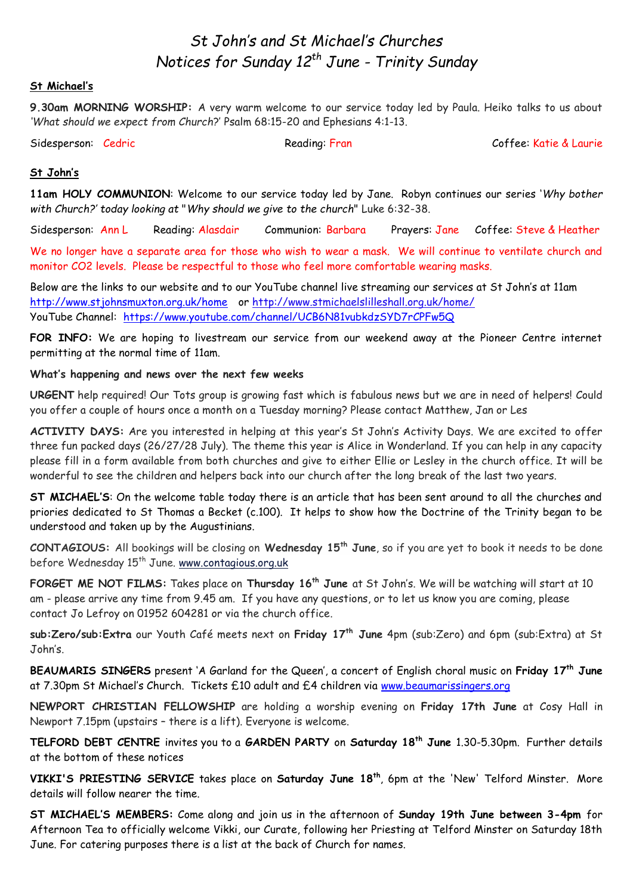# *St John's and St Michael's Churches Notices for Sunday 12th June - Trinity Sunday*

#### **St Michael's**

**9.30am MORNING WORSHIP:** A very warm welcome to our service today led by Paula. Heiko talks to us about *'What should we expect from Church*?' Psalm 68:15-20 and Ephesians 4:1-13.

Sidesperson: Cedric Communication: Reading: Fran Coffee: Katie & Laurie

#### **St John's**

**11am HOLY COMMUNION**: Welcome to our service today led by Jane. Robyn continues our series '*Why bother with Church?' today looking at* "*Why should we give to the church*" Luke 6:32-38.

Sidesperson: Ann L Reading: Alasdair Communion: Barbara Prayers: Jane Coffee: Steve & Heather

We no longer have a separate area for those who wish to wear a mask. We will continue to ventilate church and monitor CO2 levels. Please be respectful to those who feel more comfortable wearing masks.

Below are the links to our website and to our YouTube channel live streaming our services at St John's at 11am <http://www.stjohnsmuxton.org.uk/home> or<http://www.stmichaelslilleshall.org.uk/home/> YouTube Channel: <https://www.youtube.com/channel/UCB6N81vubkdzSYD7rCPFw5Q>

**FOR INFO:** We are hoping to livestream our service from our weekend away at the Pioneer Centre internet permitting at the normal time of 11am.

#### **What's happening and news over the next few weeks**

**URGENT** help required! Our Tots group is growing fast which is fabulous news but we are in need of helpers! Could you offer a couple of hours once a month on a Tuesday morning? Please contact Matthew, Jan or Les

**ACTIVITY DAYS:** Are you interested in helping at this year's St John's Activity Days. We are excited to offer three fun packed days (26/27/28 July). The theme this year is Alice in Wonderland. If you can help in any capacity please fill in a form available from both churches and give to either Ellie or Lesley in the church office. It will be wonderful to see the children and helpers back into our church after the long break of the last two years.

**ST MICHAEL'S**: On the welcome table today there is an article that has been sent around to all the churches and priories dedicated to St Thomas a Becket (c.100). It helps to show how the Doctrine of the Trinity began to be understood and taken up by the Augustinians.

**CONTAGIOUS:** All bookings will be closing on **Wednesday 15th June**, so if you are yet to book it needs to be done before Wednesday 15<sup>th</sup> June. <u>[www.contagious.org.uk](http://www.contagious.org.uk/)</u>

**FORGET ME NOT FILMS:** Takes place on **Thursday 16th June** at St John's. We will be watching will start at 10 am - please arrive any time from 9.45 am. If you have any questions, or to let us know you are coming, please contact Jo Lefroy on 01952 604281 or via the church office.

**sub:Zero/sub:Extra** our Youth Café meets next on **Friday 17th June** 4pm (sub:Zero) and 6pm (sub:Extra) at St John's.

**BEAUMARIS SINGERS** present 'A Garland for the Queen', a concert of English choral music on **Friday 17th June** at 7.30pm St Michael's Church. Tickets £10 adult and £4 children via [www.beaumarissingers.org](http://www.beaumarissingers.org/)

**NEWPORT CHRISTIAN FELLOWSHIP** are holding a worship evening on **Friday 17th June** at Cosy Hall in Newport 7.15pm (upstairs – there is a lift). Everyone is welcome.

**TELFORD DEBT CENTRE** invites you to a **GARDEN PARTY** on **Saturday 18th June** 1.30-5.30pm. Further details at the bottom of these notices

**VIKKI'S PRIESTING SERVICE** takes place on **Saturday June 18th**, 6pm at the 'New' Telford Minster. More details will follow nearer the time.

**ST MICHAEL'S MEMBERS:** Come along and join us in the afternoon of **Sunday 19th June between 3-4pm** for Afternoon Tea to officially welcome Vikki, our Curate, following her Priesting at Telford Minster on Saturday 18th June. For catering purposes there is a list at the back of Church for names.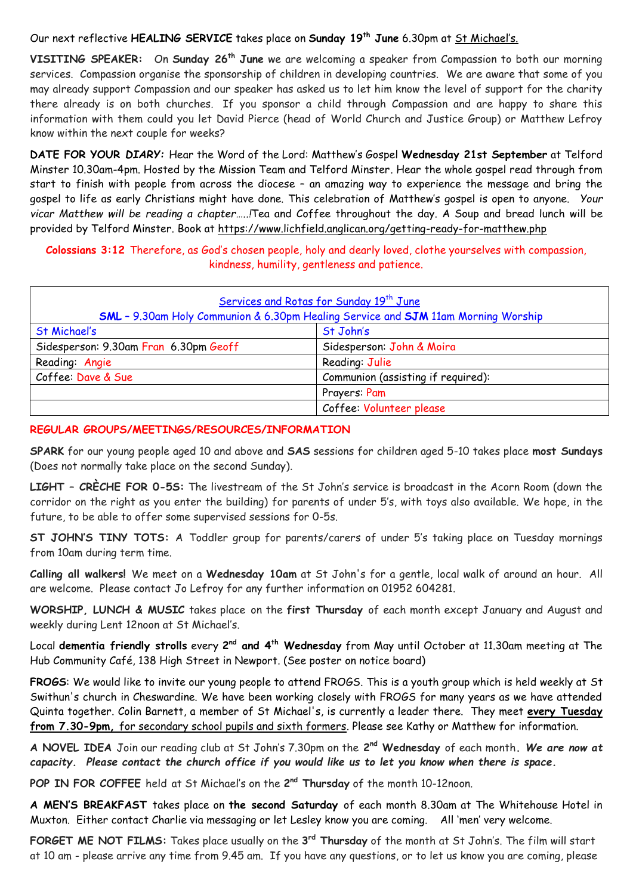Our next reflective **HEALING SERVICE** takes place on **Sunday 19th June** 6.30pm at St Michael's.

**VISITING SPEAKER:** On **Sunday 26th June** we are welcoming a speaker from Compassion to both our morning services. Compassion organise the sponsorship of children in developing countries. We are aware that some of you may already support Compassion and our speaker has asked us to let him know the level of support for the charity there already is on both churches. If you sponsor a child through Compassion and are happy to share this information with them could you let David Pierce (head of World Church and Justice Group) or Matthew Lefroy know within the next couple for weeks?

**DATE FOR YOUR** *DIARY:* Hear the Word of the Lord: Matthew's Gospel **Wednesday 21st September** at Telford Minster 10.30am-4pm. Hosted by the Mission Team and Telford Minster. Hear the whole gospel read through from start to finish with people from across the diocese – an amazing way to experience the message and bring the gospel to life as early Christians might have done. This celebration of Matthew's gospel is open to anyone. *Your vicar Matthew will be reading a chapter…..!*Tea and Coffee throughout the day. A Soup and bread lunch will be provided by Telford Minster. Book at <https://www.lichfield.anglican.org/getting-ready-for-matthew.php>

**Colossians 3:12** Therefore, as God's chosen people, holy and dearly loved, clothe yourselves with compassion, kindness, humility, gentleness and patience.

| Services and Rotas for Sunday 19 <sup>th</sup> June<br><b>SML</b> - 9.30am Holy Communion & 6.30pm Healing Service and <b>SJM</b> 11am Morning Worship |                                    |
|--------------------------------------------------------------------------------------------------------------------------------------------------------|------------------------------------|
| St Michael's                                                                                                                                           | St John's                          |
| Sidesperson: 9.30am Fran 6.30pm Geoff                                                                                                                  | Sidesperson: John & Moira          |
| Reading: Angie                                                                                                                                         | Reading: Julie                     |
| Coffee: Dave & Sue                                                                                                                                     | Communion (assisting if required): |
|                                                                                                                                                        | Prayers: Pam                       |
|                                                                                                                                                        | Coffee: Volunteer please           |

#### **REGULAR GROUPS/MEETINGS/RESOURCES/INFORMATION**

**SPARK** for our young people aged 10 and above and **SAS** sessions for children aged 5-10 takes place **most Sundays** (Does not normally take place on the second Sunday).

**LIGHT – CRÈCHE FOR 0-5S:** The livestream of the St John's service is broadcast in the Acorn Room (down the corridor on the right as you enter the building) for parents of under 5's, with toys also available. We hope, in the future, to be able to offer some supervised sessions for 0-5s.

**ST JOHN'S TINY TOTS:** A Toddler group for parents/carers of under 5's taking place on Tuesday mornings from 10am during term time.

**Calling all walkers!** We meet on a **Wednesday 10am** at St John's for a gentle, local walk of around an hour. All are welcome. Please contact Jo Lefroy for any further information on 01952 604281.

**WORSHIP, LUNCH & MUSIC** takes place on the **first Thursday** of each month except January and August and weekly during Lent 12noon at St Michael's.

Local **dementia friendly strolls** every 2<sup>nd</sup> and 4<sup>th</sup> **Wednesday** from May until October at 11.30am meeting at The Hub Community Café, 138 High Street in Newport. (See poster on notice board)

**FROGS**: We would like to invite our young people to attend FROGS. This is a youth group which is held weekly at St Swithun's church in Cheswardine. We have been working closely with FROGS for many years as we have attended Quinta together. Colin Barnett, a member of St Michael's, is currently a leader there. They meet **every Tuesday from 7.30-9pm,** for secondary school pupils and sixth formers. Please see Kathy or Matthew for information.

**A NOVEL IDEA** Join our reading club at St John's 7.30pm on the **2 nd Wednesday** of each month**.** *We are now at capacity. Please contact the church office if you would like us to let you know when there is space.*

**POP IN FOR COFFEE** held at St Michael's on the **2 nd Thursday** of the month 10-12noon.

**A MEN'S BREAKFAST** takes place on **the second Saturday** of each month 8.30am at The Whitehouse Hotel in Muxton. Either contact Charlie via messaging or let Lesley know you are coming. All 'men' very welcome.

**FORGET ME NOT FILMS:** Takes place usually on the **3 rd Thursday** of the month at St John's. The film will start at 10 am - please arrive any time from 9.45 am. If you have any questions, or to let us know you are coming, please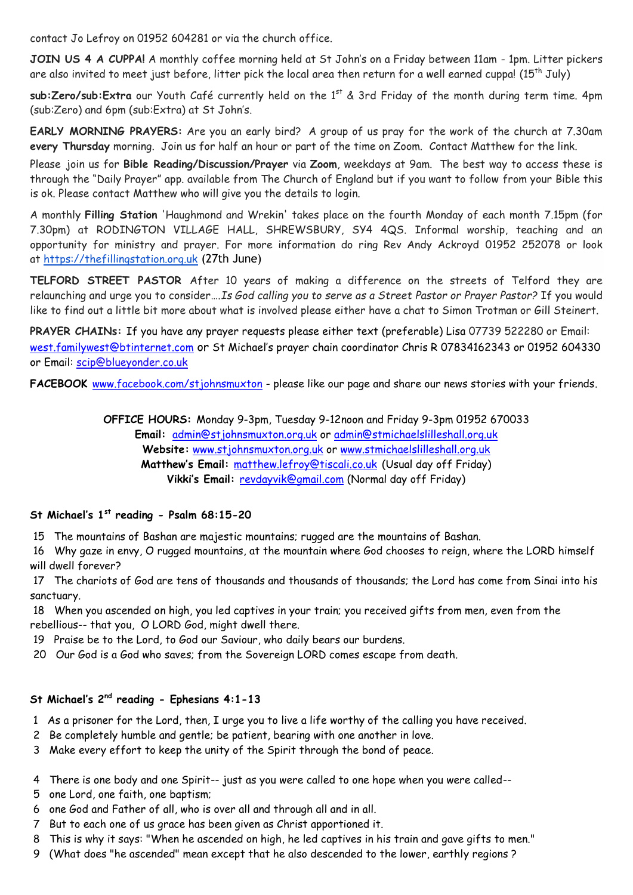contact Jo Lefroy on 01952 604281 or via the church office.

**JOIN US 4 A CUPPA!** A monthly coffee morning held at St John's on a Friday between 11am - 1pm. Litter pickers are also invited to meet just before, litter pick the local area then return for a well earned cuppa! ( $15^{th}$  July)

sub:Zero/sub:Extra our Youth Café currently held on the 1<sup>st</sup> & 3rd Friday of the month during term time. 4pm (sub:Zero) and 6pm (sub:Extra) at St John's.

**EARLY MORNING PRAYERS:** Are you an early bird? A group of us pray for the work of the church at 7.30am **every Thursday** morning. Join us for half an hour or part of the time on Zoom. Contact Matthew for the link.

Please join us for **Bible Reading/Discussion/Prayer** via **Zoom**, weekdays at 9am. The best way to access these is through the "Daily Prayer" app. available from The Church of England but if you want to follow from your Bible this is ok. Please contact Matthew who will give you the details to login.

A monthly **Filling Station** 'Haughmond and Wrekin' takes place on the fourth Monday of each month 7.15pm (for 7.30pm) at RODINGTON VILLAGE HALL, SHREWSBURY, SY4 4QS. Informal worship, teaching and an opportunity for ministry and prayer. For more information do ring Rev Andy Ackroyd 01952 252078 or look at [https://thefillingstation.org.uk](https://thefillingstation.org.uk/) (27th June)

**TELFORD STREET PASTOR** After 10 years of making a difference on the streets of Telford they are relaunching and urge you to consider….*Is God calling you to serve as a Street Pastor or Prayer Pastor?* If you would like to find out a little bit more about what is involved please either have a chat to Simon Trotman or Gill Steinert.

**PRAYER CHAINs:** If you have any prayer requests please either text (preferable) Lisa 07739 522280 or Email: [west.familywest@btinternet.com](mailto:west.familywest@btinternet.com) or St Michael's prayer chain coordinator Chris R 07834162343 or 01952 604330 or Email: [scip@blueyonder.co.uk](mailto:scip@blueyonder.co.uk)

FACEBOOK [www.facebook.com/stjohnsmuxton](http://www.facebook.com/stjohnsmuxton) - please like our page and share our news stories with your friends.

**OFFICE HOURS:** Monday 9-3pm, Tuesday 9-12noon and Friday 9-3pm 01952 670033 **Email:** admin[@stjohnsmuxton.o](http://stjohnsmuxton/)rg.uk or [admin@stmichaelslilleshall.org.uk](mailto:admin@stmichaelslilleshall.org.uk) **Website:** [www.stjohnsmuxton.org.uk](http://www.stjohnsmuxton.org.uk/) or www.stmichaelslilleshall.org.uk **Matthew's Email:** [matthew.lefroy@tiscali.co.uk](mailto:matthew.lefroy@tiscali.co.uk) (Usual day off Friday) **Vikki's Email:** [revdayvik@gmail.com](mailto:revdayvik@gmail.com) (Normal day off Friday)

## **St Michael's 1st reading - Psalm 68:15-20**

15 The mountains of Bashan are majestic mountains; rugged are the mountains of Bashan.

16 Why gaze in envy, O rugged mountains, at the mountain where God chooses to reign, where the LORD himself will dwell forever?

17 The chariots of God are tens of thousands and thousands of thousands; the Lord has come from Sinai into his sanctuary.

18 When you ascended on high, you led captives in your train; you received gifts from men, even from the rebellious-- that you, O LORD God, might dwell there.

19 Praise be to the Lord, to God our Saviour, who daily bears our burdens.

20 Our God is a God who saves; from the Sovereign LORD comes escape from death.

# **St Michael's 2nd reading - Ephesians 4:1-13**

- 1 As a prisoner for the Lord, then, I urge you to live a life worthy of the calling you have received.
- 2 Be completely humble and gentle; be patient, bearing with one another in love.
- 3 Make every effort to keep the unity of the Spirit through the bond of peace.
- 4 There is one body and one Spirit-- just as you were called to one hope when you were called--
- 5 one Lord, one faith, one baptism;
- 6 one God and Father of all, who is over all and through all and in all.
- 7 But to each one of us grace has been given as Christ apportioned it.
- 8 This is why it says: "When he ascended on high, he led captives in his train and gave gifts to men."
- 9 (What does "he ascended" mean except that he also descended to the lower, earthly regions ?